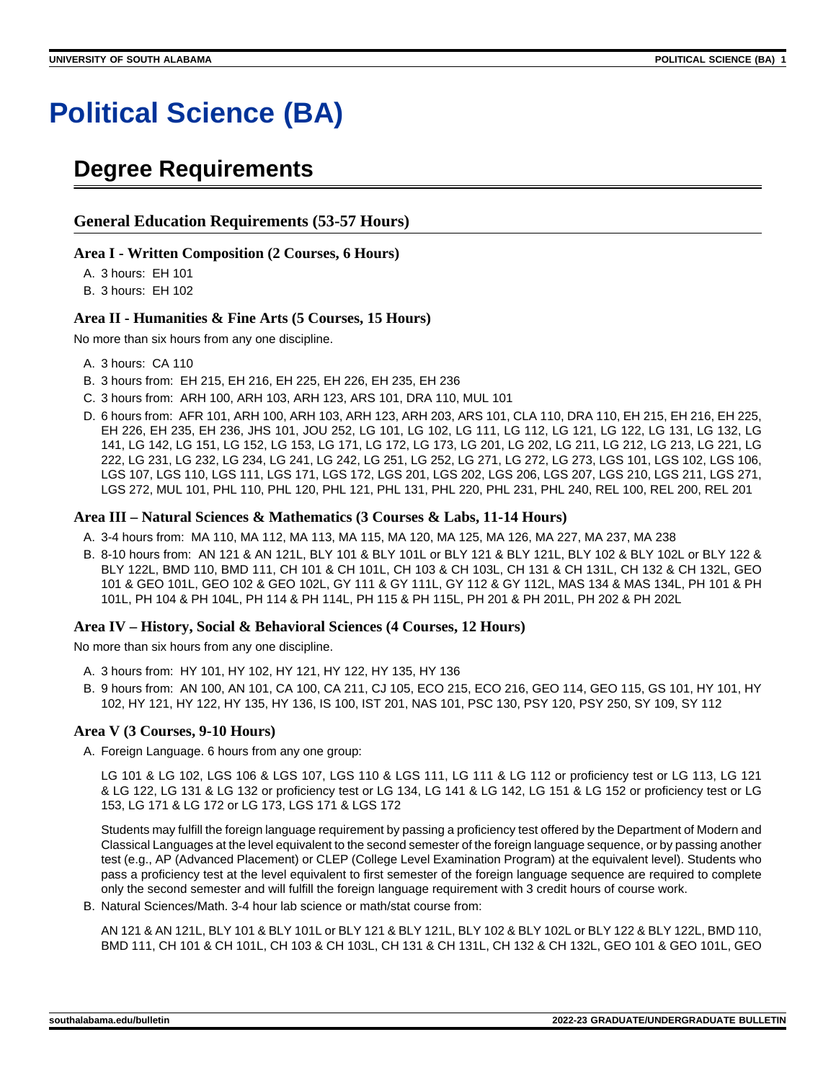# **Political Science (BA)**

## **Degree Requirements**

## **General Education Requirements (53-57 Hours)**

#### **Area I - Written Composition (2 Courses, 6 Hours)**

A. 3 hours: EH 101

B. 3 hours: EH 102

### **Area II - Humanities & Fine Arts (5 Courses, 15 Hours)**

No more than six hours from any one discipline.

- A. 3 hours: CA 110
- B. 3 hours from: EH 215, EH 216, EH 225, EH 226, EH 235, EH 236
- C. 3 hours from: ARH 100, ARH 103, ARH 123, ARS 101, DRA 110, MUL 101
- D. 6 hours from: AFR 101, ARH 100, ARH 103, ARH 123, ARH 203, ARS 101, CLA 110, DRA 110, EH 215, EH 216, EH 225, EH 226, EH 235, EH 236, JHS 101, JOU 252, LG 101, LG 102, LG 111, LG 112, LG 121, LG 122, LG 131, LG 132, LG 141, LG 142, LG 151, LG 152, LG 153, LG 171, LG 172, LG 173, LG 201, LG 202, LG 211, LG 212, LG 213, LG 221, LG 222, LG 231, LG 232, LG 234, LG 241, LG 242, LG 251, LG 252, LG 271, LG 272, LG 273, LGS 101, LGS 102, LGS 106, LGS 107, LGS 110, LGS 111, LGS 171, LGS 172, LGS 201, LGS 202, LGS 206, LGS 207, LGS 210, LGS 211, LGS 271, LGS 272, MUL 101, PHL 110, PHL 120, PHL 121, PHL 131, PHL 220, PHL 231, PHL 240, REL 100, REL 200, REL 201

#### **Area III – Natural Sciences & Mathematics (3 Courses & Labs, 11-14 Hours)**

- A. 3-4 hours from: MA 110, MA 112, MA 113, MA 115, MA 120, MA 125, MA 126, MA 227, MA 237, MA 238
- B. 8-10 hours from: AN 121 & AN 121L, BLY 101 & BLY 101L or BLY 121 & BLY 121L, BLY 102 & BLY 102L or BLY 122 & BLY 122L, BMD 110, BMD 111, CH 101 & CH 101L, CH 103 & CH 103L, CH 131 & CH 131L, CH 132 & CH 132L, GEO 101 & GEO 101L, GEO 102 & GEO 102L, GY 111 & GY 111L, GY 112 & GY 112L, MAS 134 & MAS 134L, PH 101 & PH 101L, PH 104 & PH 104L, PH 114 & PH 114L, PH 115 & PH 115L, PH 201 & PH 201L, PH 202 & PH 202L

### **Area IV – History, Social & Behavioral Sciences (4 Courses, 12 Hours)**

No more than six hours from any one discipline.

- A. 3 hours from: HY 101, HY 102, HY 121, HY 122, HY 135, HY 136
- B. 9 hours from: AN 100, AN 101, CA 100, CA 211, CJ 105, ECO 215, ECO 216, GEO 114, GEO 115, GS 101, HY 101, HY 102, HY 121, HY 122, HY 135, HY 136, IS 100, IST 201, NAS 101, PSC 130, PSY 120, PSY 250, SY 109, SY 112

### **Area V (3 Courses, 9-10 Hours)**

A. Foreign Language. 6 hours from any one group:

LG 101 & LG 102, LGS 106 & LGS 107, LGS 110 & LGS 111, LG 111 & LG 112 or proficiency test or LG 113, LG 121 & LG 122, LG 131 & LG 132 or proficiency test or LG 134, LG 141 & LG 142, LG 151 & LG 152 or proficiency test or LG 153, LG 171 & LG 172 or LG 173, LGS 171 & LGS 172

Students may fulfill the foreign language requirement by passing a proficiency test offered by the Department of Modern and Classical Languages at the level equivalent to the second semester of the foreign language sequence, or by passing another test (e.g., AP (Advanced Placement) or CLEP (College Level Examination Program) at the equivalent level). Students who pass a proficiency test at the level equivalent to first semester of the foreign language sequence are required to complete only the second semester and will fulfill the foreign language requirement with 3 credit hours of course work.

B. Natural Sciences/Math. 3-4 hour lab science or math/stat course from:

AN 121 & AN 121L, BLY 101 & BLY 101L or BLY 121 & BLY 121L, BLY 102 & BLY 102L or BLY 122 & BLY 122L, BMD 110, BMD 111, CH 101 & CH 101L, CH 103 & CH 103L, CH 131 & CH 131L, CH 132 & CH 132L, GEO 101 & GEO 101L, GEO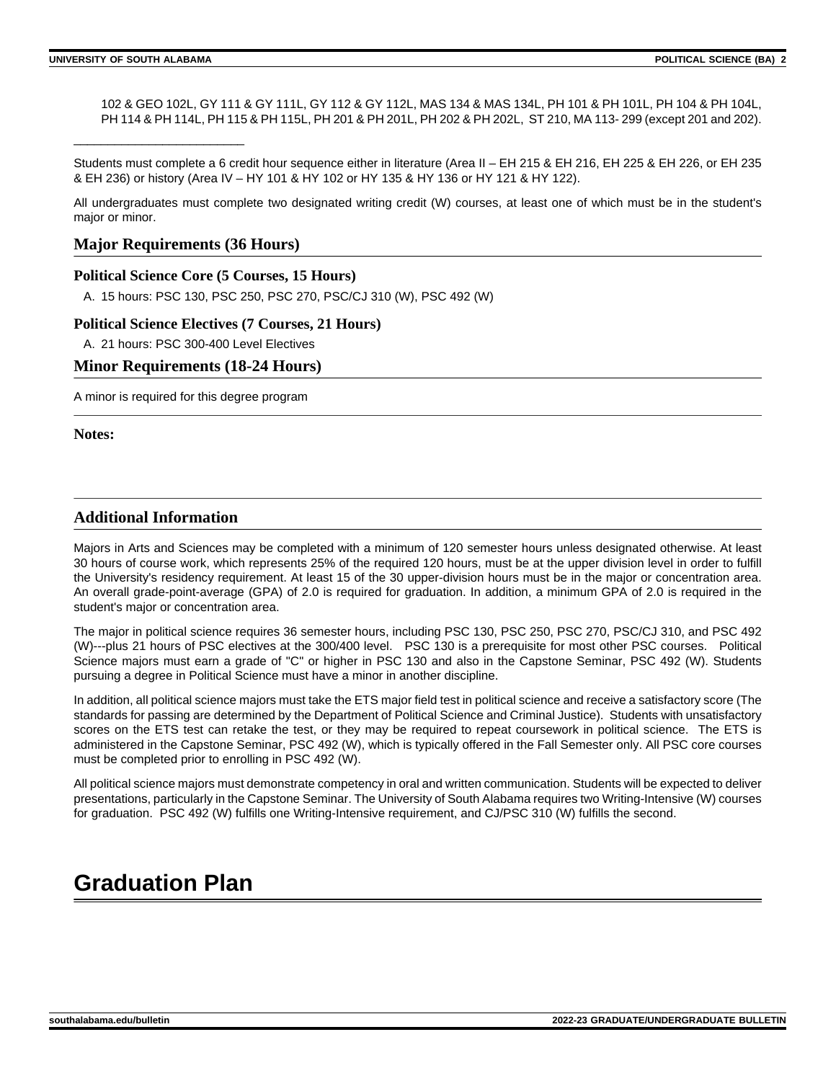\_\_\_\_\_\_\_\_\_\_\_\_\_\_\_\_\_\_\_\_\_\_\_\_\_

102 & GEO 102L, GY 111 & GY 111L, GY 112 & GY 112L, MAS 134 & MAS 134L, PH 101 & PH 101L, PH 104 & PH 104L, PH 114 & PH 114L, PH 115 & PH 115L, PH 201 & PH 201L, PH 202 & PH 202L, ST 210, MA 113-299 (except 201 and 202).

Students must complete a 6 credit hour sequence either in literature (Area II – EH 215 & EH 216, EH 225 & EH 226, or EH 235 & EH 236) or history (Area IV – HY 101 & HY 102 or HY 135 & HY 136 or HY 121 & HY 122).

All undergraduates must complete two designated writing credit (W) courses, at least one of which must be in the student's major or minor.

## **Major Requirements (36 Hours)**

## **Political Science Core (5 Courses, 15 Hours)**

A. 15 hours: PSC 130, PSC 250, PSC 270, PSC/CJ 310 (W), PSC 492 (W)

### **Political Science Electives (7 Courses, 21 Hours)**

A. 21 hours: PSC 300-400 Level Electives

## **Minor Requirements (18-24 Hours)**

A minor is required for this degree program

**Notes:**

## **Additional Information**

Majors in Arts and Sciences may be completed with a minimum of 120 semester hours unless designated otherwise. At least 30 hours of course work, which represents 25% of the required 120 hours, must be at the upper division level in order to fulfill the University's residency requirement. At least 15 of the 30 upper-division hours must be in the major or concentration area. An overall grade-point-average (GPA) of 2.0 is required for graduation. In addition, a minimum GPA of 2.0 is required in the student's major or concentration area.

The major in political science requires 36 semester hours, including PSC 130, PSC 250, PSC 270, PSC/CJ 310, and PSC 492 (W)---plus 21 hours of PSC electives at the 300/400 level. PSC 130 is a prerequisite for most other PSC courses. Political Science majors must earn a grade of "C" or higher in PSC 130 and also in the Capstone Seminar, PSC 492 (W). Students pursuing a degree in Political Science must have a minor in another discipline.

In addition, all political science majors must take the ETS major field test in political science and receive a satisfactory score (The standards for passing are determined by the Department of Political Science and Criminal Justice). Students with unsatisfactory scores on the ETS test can retake the test, or they may be required to repeat coursework in political science. The ETS is administered in the Capstone Seminar, PSC 492 (W), which is typically offered in the Fall Semester only. All PSC core courses must be completed prior to enrolling in PSC 492 (W).

All political science majors must demonstrate competency in oral and written communication. Students will be expected to deliver presentations, particularly in the Capstone Seminar. The University of South Alabama requires two Writing-Intensive (W) courses for graduation. PSC 492 (W) fulfills one Writing-Intensive requirement, and CJ/PSC 310 (W) fulfills the second.

## **Graduation Plan**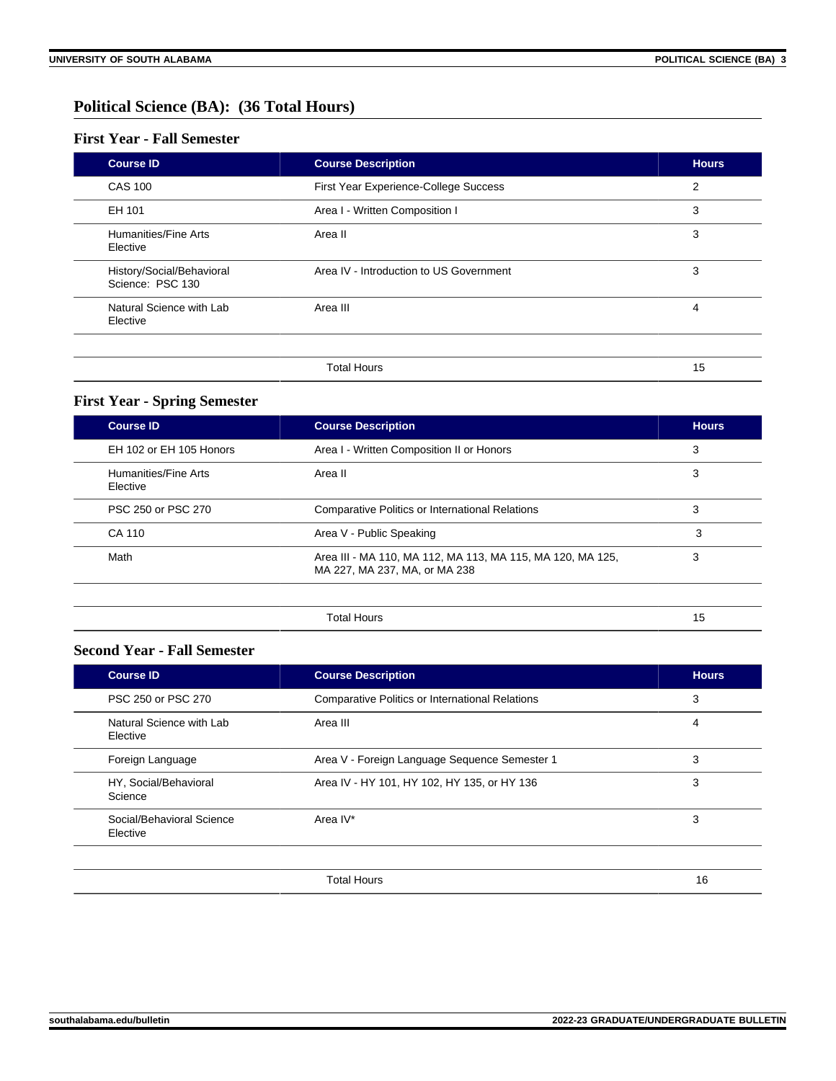## **Political Science (BA): (36 Total Hours)**

## **First Year - Fall Semester**

| <b>Course ID</b>                              | <b>Course Description</b>               | <b>Hours</b> |
|-----------------------------------------------|-----------------------------------------|--------------|
| <b>CAS 100</b>                                | First Year Experience-College Success   | 2            |
| EH 101                                        | Area I - Written Composition I          | 3            |
| Humanities/Fine Arts<br>Elective              | Area II                                 | 3            |
| History/Social/Behavioral<br>Science: PSC 130 | Area IV - Introduction to US Government | 3            |
| Natural Science with Lab<br>Elective          | Area III                                | 4            |
|                                               |                                         |              |
|                                               | <b>Total Hours</b>                      | 15           |

## **First Year - Spring Semester**

| <b>Course ID</b>                 | <b>Course Description</b>                                                                   | <b>Hours</b> |
|----------------------------------|---------------------------------------------------------------------------------------------|--------------|
| EH 102 or EH 105 Honors          | Area I - Written Composition II or Honors                                                   | 3            |
| Humanities/Fine Arts<br>Elective | Area II                                                                                     | 3            |
| PSC 250 or PSC 270               | <b>Comparative Politics or International Relations</b>                                      | 3            |
| CA 110                           | Area V - Public Speaking                                                                    | 3            |
| Math                             | Area III - MA 110, MA 112, MA 113, MA 115, MA 120, MA 125,<br>MA 227, MA 237, MA, or MA 238 | 3            |
|                                  |                                                                                             |              |
|                                  | <b>Total Hours</b>                                                                          | 15           |

## **Second Year - Fall Semester**

| <b>Course ID</b>                      | <b>Course Description</b>                              | <b>Hours</b> |
|---------------------------------------|--------------------------------------------------------|--------------|
| PSC 250 or PSC 270                    | <b>Comparative Politics or International Relations</b> | 3            |
| Natural Science with Lab<br>Elective  | Area III                                               | 4            |
| Foreign Language                      | Area V - Foreign Language Sequence Semester 1          | 3            |
| HY, Social/Behavioral<br>Science      | Area IV - HY 101, HY 102, HY 135, or HY 136            | 3            |
| Social/Behavioral Science<br>Elective | Area IV*                                               | 3            |
|                                       |                                                        |              |

Total Hours 16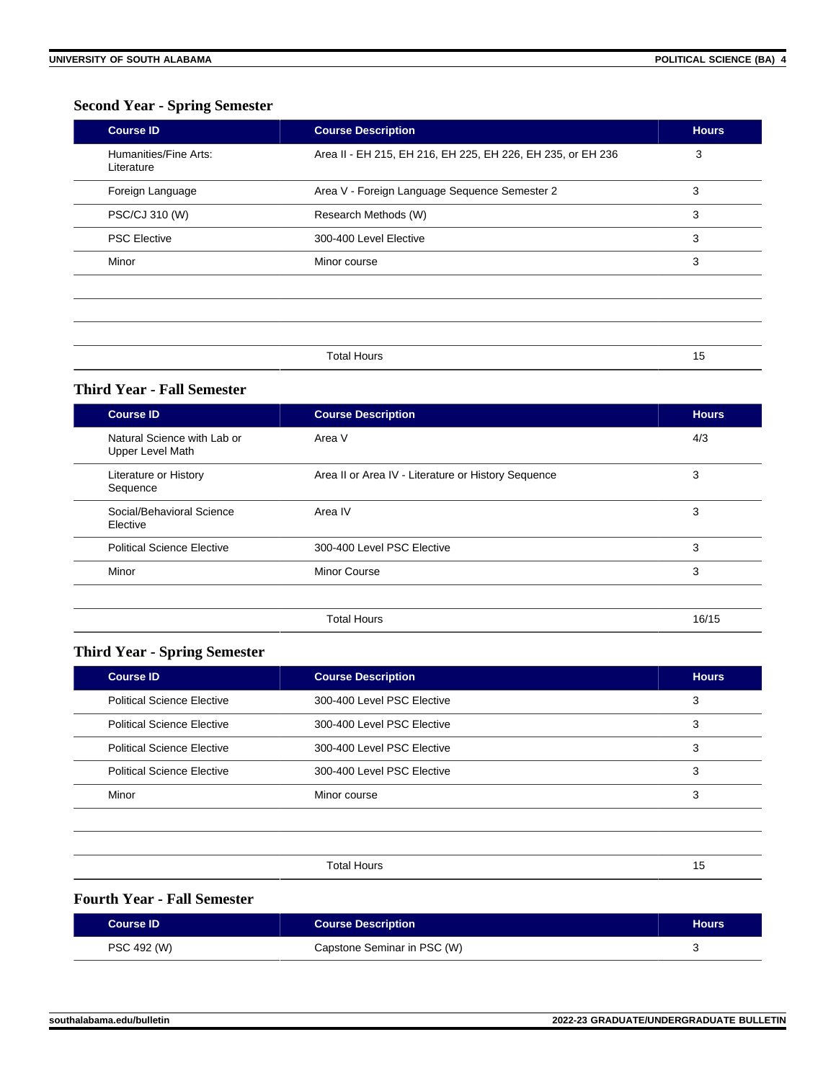## **Second Year - Spring Semester**

| <b>Course ID</b>                    | <b>Course Description</b>                                   | <b>Hours</b> |
|-------------------------------------|-------------------------------------------------------------|--------------|
| Humanities/Fine Arts:<br>Literature | Area II - EH 215, EH 216, EH 225, EH 226, EH 235, or EH 236 | 3            |
| Foreign Language                    | Area V - Foreign Language Sequence Semester 2               | 3            |
| PSC/CJ 310 (W)                      | Research Methods (W)                                        | 3            |
| <b>PSC Elective</b>                 | 300-400 Level Elective                                      | 3            |
| Minor                               | Minor course                                                | 3            |
|                                     |                                                             |              |
|                                     |                                                             |              |
|                                     |                                                             |              |
|                                     | <b>Total Hours</b>                                          | 15           |

## **Third Year - Fall Semester**

| <b>Course ID</b>                                | <b>Course Description</b>                           | <b>Hours</b> |
|-------------------------------------------------|-----------------------------------------------------|--------------|
| Natural Science with Lab or<br>Upper Level Math | Area V                                              | 4/3          |
| Literature or History<br>Sequence               | Area II or Area IV - Literature or History Sequence | 3            |
| Social/Behavioral Science<br>Elective           | Area IV                                             | 3            |
| <b>Political Science Elective</b>               | 300-400 Level PSC Elective                          | 3            |
| Minor                                           | <b>Minor Course</b>                                 | 3            |
|                                                 |                                                     |              |
|                                                 | <b>Total Hours</b>                                  | 16/15        |

## **Third Year - Spring Semester**

| <b>Course ID</b>                  | <b>Course Description</b>  | <b>Hours</b> |
|-----------------------------------|----------------------------|--------------|
| <b>Political Science Elective</b> | 300-400 Level PSC Elective | 3            |
| <b>Political Science Elective</b> | 300-400 Level PSC Elective | 3            |
| <b>Political Science Elective</b> | 300-400 Level PSC Elective | 3            |
| <b>Political Science Elective</b> | 300-400 Level PSC Elective | 3            |
| Minor                             | Minor course               | 3            |
|                                   |                            |              |

Total Hours 15

## **Fourth Year - Fall Semester**

| <b>Course ID</b> | <b>Course Description</b>   | <b>Hours</b> |
|------------------|-----------------------------|--------------|
| PSC 492 (W)      | Capstone Seminar in PSC (W) |              |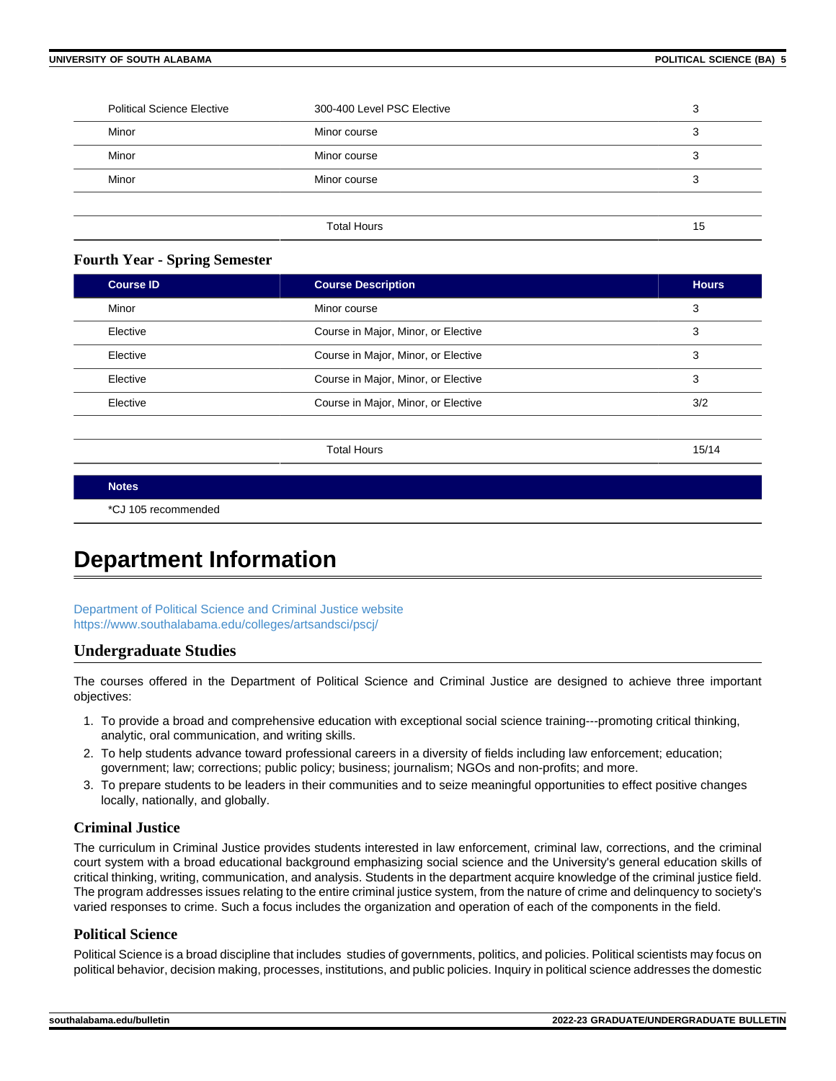| <b>Political Science Elective</b> | 300-400 Level PSC Elective | ົ<br>د، |
|-----------------------------------|----------------------------|---------|
| Minor                             | Minor course               | ົ<br>J  |
| Minor                             | Minor course               | ◠<br>J  |
| Minor                             | Minor course               | 3       |
|                                   |                            |         |
|                                   | <b>Total Hours</b>         | 15      |

### **Fourth Year - Spring Semester**

| <b>Course ID</b> | <b>Course Description</b>           | <b>Hours</b> |
|------------------|-------------------------------------|--------------|
| Minor            | Minor course                        | 3            |
| Elective         | Course in Major, Minor, or Elective | 3            |
| Elective         | Course in Major, Minor, or Elective | 3            |
| Elective         | Course in Major, Minor, or Elective | 3            |
| Elective         | Course in Major, Minor, or Elective | 3/2          |
|                  |                                     |              |

Total Hours 15/14

**Notes**

\*CJ 105 recommended

## **Department Information**

[Department of Political Science and Criminal Justice website](https://www.southalabama.edu/poliscie/) <https://www.southalabama.edu/colleges/artsandsci/pscj/>

## **Undergraduate Studies**

The courses offered in the Department of Political Science and Criminal Justice are designed to achieve three important objectives:

- 1. To provide a broad and comprehensive education with exceptional social science training---promoting critical thinking, analytic, oral communication, and writing skills.
- 2. To help students advance toward professional careers in a diversity of fields including law enforcement; education; government; law; corrections; public policy; business; journalism; NGOs and non-profits; and more.
- 3. To prepare students to be leaders in their communities and to seize meaningful opportunities to effect positive changes locally, nationally, and globally.

### **Criminal Justice**

The curriculum in Criminal Justice provides students interested in law enforcement, criminal law, corrections, and the criminal court system with a broad educational background emphasizing social science and the University's general education skills of critical thinking, writing, communication, and analysis. Students in the department acquire knowledge of the criminal justice field. The program addresses issues relating to the entire criminal justice system, from the nature of crime and delinquency to society's varied responses to crime. Such a focus includes the organization and operation of each of the components in the field.

### **Political Science**

Political Science is a broad discipline that includes studies of governments, politics, and policies. Political scientists may focus on political behavior, decision making, processes, institutions, and public policies. Inquiry in political science addresses the domestic